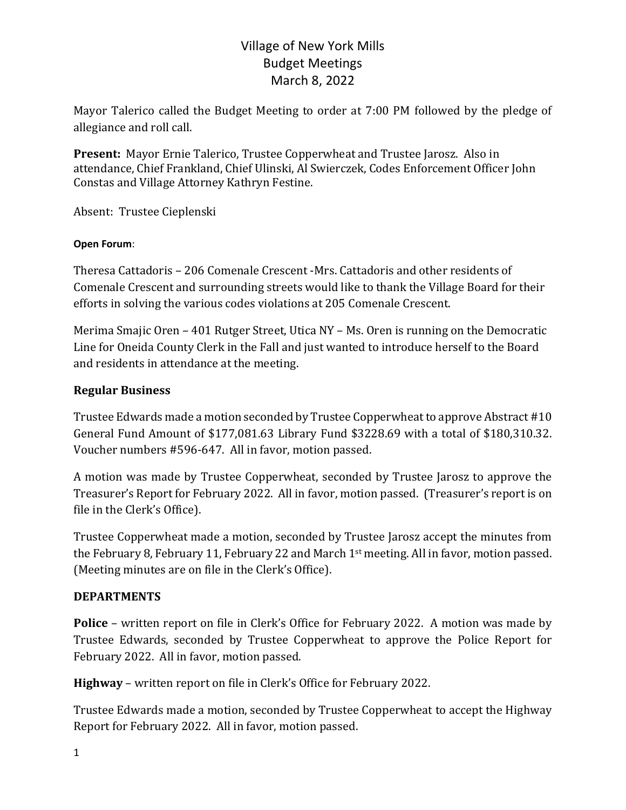Mayor Talerico called the Budget Meeting to order at 7:00 PM followed by the pledge of allegiance and roll call.

**Present:** Mayor Ernie Talerico, Trustee Copperwheat and Trustee Jarosz. Also in attendance, Chief Frankland, Chief Ulinski, Al Swierczek, Codes Enforcement Officer John Constas and Village Attorney Kathryn Festine.

Absent: Trustee Cieplenski

#### **Open Forum**:

Theresa Cattadoris - 206 Comenale Crescent -Mrs. Cattadoris and other residents of Comenale Crescent and surrounding streets would like to thank the Village Board for their efforts in solving the various codes violations at 205 Comenale Crescent.

Merima Smajic Oren – 401 Rutger Street, Utica NY – Ms. Oren is running on the Democratic Line for Oneida County Clerk in the Fall and just wanted to introduce herself to the Board and residents in attendance at the meeting.

#### **Regular Business**

Trustee Edwards made a motion seconded by Trustee Copperwheat to approve Abstract #10 General Fund Amount of \$177,081.63 Library Fund \$3228.69 with a total of \$180,310.32. Voucher numbers #596-647. All in favor, motion passed.

A motion was made by Trustee Copperwheat, seconded by Trustee Jarosz to approve the Treasurer's Report for February 2022. All in favor, motion passed. (Treasurer's report is on file in the Clerk's Office).

Trustee Copperwheat made a motion, seconded by Trustee Jarosz accept the minutes from the February 8, February 11, February 22 and March  $1<sup>st</sup>$  meeting. All in favor, motion passed. (Meeting minutes are on file in the Clerk's Office).

#### **DEPARTMENTS**

**Police** – written report on file in Clerk's Office for February 2022. A motion was made by Trustee Edwards, seconded by Trustee Copperwheat to approve the Police Report for February 2022. All in favor, motion passed.

**Highway** – written report on file in Clerk's Office for February 2022.

Trustee Edwards made a motion, seconded by Trustee Copperwheat to accept the Highway Report for February 2022. All in favor, motion passed.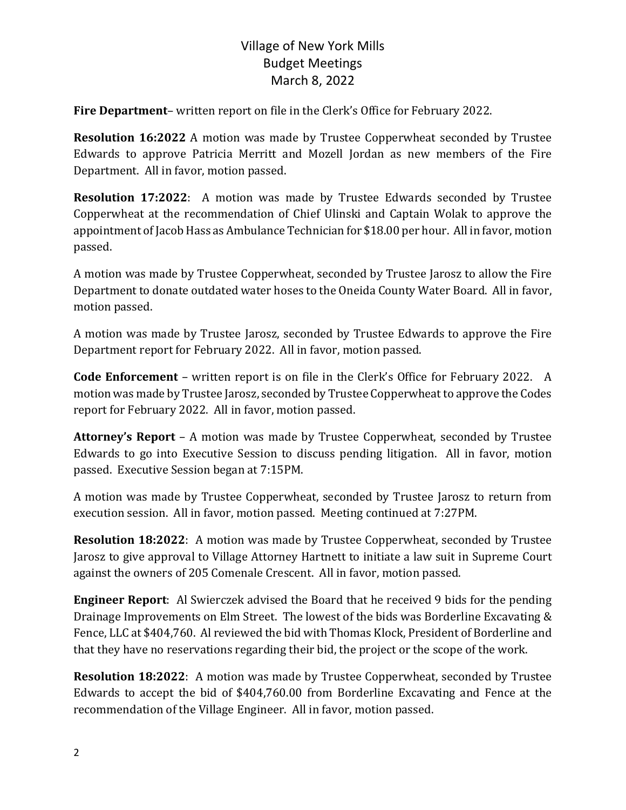**Fire Department**– written report on file in the Clerk's Office for February 2022.

**Resolution 16:2022** A motion was made by Trustee Copperwheat seconded by Trustee Edwards to approve Patricia Merritt and Mozell Jordan as new members of the Fire Department. All in favor, motion passed.

**Resolution 17:2022**: A motion was made by Trustee Edwards seconded by Trustee Copperwheat at the recommendation of Chief Ulinski and Captain Wolak to approve the appointment of Jacob Hass as Ambulance Technician for \$18.00 per hour. All in favor, motion passed.

A motion was made by Trustee Copperwheat, seconded by Trustee Jarosz to allow the Fire Department to donate outdated water hoses to the Oneida County Water Board. All in favor, motion passed.

A motion was made by Trustee Jarosz, seconded by Trustee Edwards to approve the Fire Department report for February 2022. All in favor, motion passed.

**Code Enforcement** – written report is on file in the Clerk's Office for February 2022. A motion was made by Trustee Jarosz, seconded by Trustee Copperwheat to approve the Codes report for February 2022. All in favor, motion passed.

**Attorney's Report** – A motion was made by Trustee Copperwheat, seconded by Trustee Edwards to go into Executive Session to discuss pending litigation. All in favor, motion passed. Executive Session began at 7:15PM.

A motion was made by Trustee Copperwheat, seconded by Trustee Jarosz to return from execution session. All in favor, motion passed. Meeting continued at 7:27PM.

**Resolution 18:2022:** A motion was made by Trustee Copperwheat, seconded by Trustee Jarosz to give approval to Village Attorney Hartnett to initiate a law suit in Supreme Court against the owners of 205 Comenale Crescent. All in favor, motion passed.

**Engineer Report:** Al Swierczek advised the Board that he received 9 bids for the pending Drainage Improvements on Elm Street. The lowest of the bids was Borderline Excavating & Fence, LLC at \$404,760. Al reviewed the bid with Thomas Klock, President of Borderline and that they have no reservations regarding their bid, the project or the scope of the work.

**Resolution 18:2022:** A motion was made by Trustee Copperwheat, seconded by Trustee Edwards to accept the bid of \$404,760.00 from Borderline Excavating and Fence at the recommendation of the Village Engineer. All in favor, motion passed.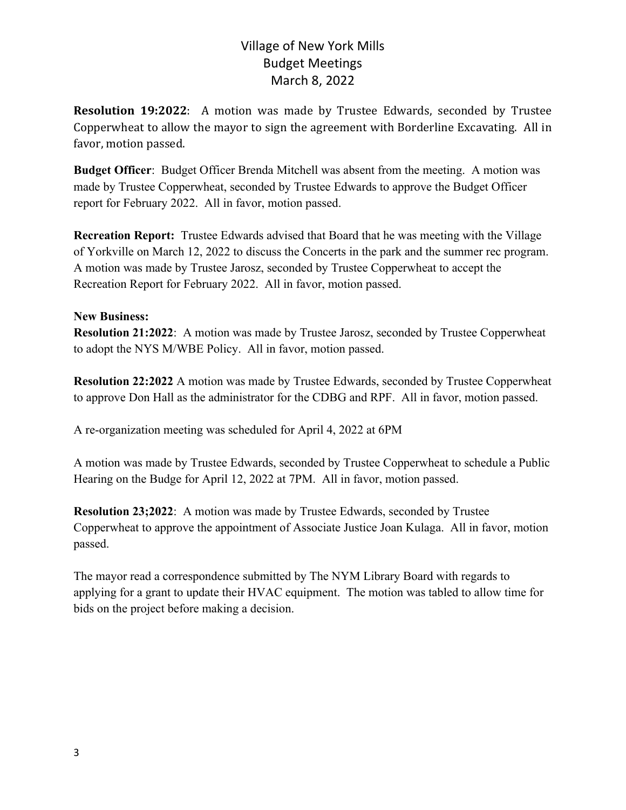**Resolution 19:2022**: A motion was made by Trustee Edwards, seconded by Trustee Copperwheat to allow the mayor to sign the agreement with Borderline Excavating. All in favor, motion passed.

**Budget Officer**: Budget Officer Brenda Mitchell was absent from the meeting. A motion was made by Trustee Copperwheat, seconded by Trustee Edwards to approve the Budget Officer report for February 2022. All in favor, motion passed.

**Recreation Report:** Trustee Edwards advised that Board that he was meeting with the Village of Yorkville on March 12, 2022 to discuss the Concerts in the park and the summer rec program. A motion was made by Trustee Jarosz, seconded by Trustee Copperwheat to accept the Recreation Report for February 2022. All in favor, motion passed.

#### **New Business:**

**Resolution 21:2022**: A motion was made by Trustee Jarosz, seconded by Trustee Copperwheat to adopt the NYS M/WBE Policy. All in favor, motion passed.

**Resolution 22:2022** A motion was made by Trustee Edwards, seconded by Trustee Copperwheat to approve Don Hall as the administrator for the CDBG and RPF. All in favor, motion passed.

A re-organization meeting was scheduled for April 4, 2022 at 6PM

A motion was made by Trustee Edwards, seconded by Trustee Copperwheat to schedule a Public Hearing on the Budge for April 12, 2022 at 7PM. All in favor, motion passed.

**Resolution 23;2022**: A motion was made by Trustee Edwards, seconded by Trustee Copperwheat to approve the appointment of Associate Justice Joan Kulaga. All in favor, motion passed.

The mayor read a correspondence submitted by The NYM Library Board with regards to applying for a grant to update their HVAC equipment. The motion was tabled to allow time for bids on the project before making a decision.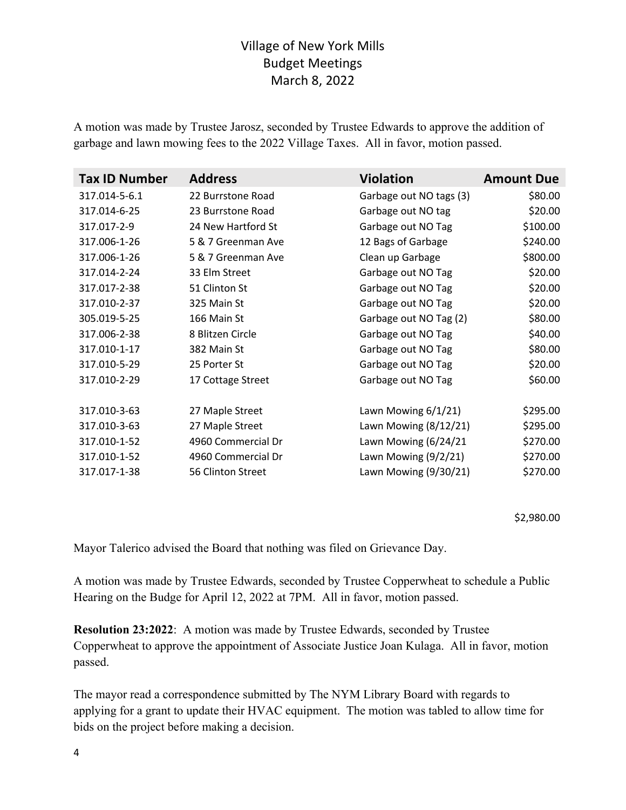A motion was made by Trustee Jarosz, seconded by Trustee Edwards to approve the addition of garbage and lawn mowing fees to the 2022 Village Taxes. All in favor, motion passed.

| <b>Tax ID Number</b> | <b>Address</b>     | <b>Violation</b>        | <b>Amount Due</b> |
|----------------------|--------------------|-------------------------|-------------------|
| 317.014-5-6.1        | 22 Burrstone Road  | Garbage out NO tags (3) | \$80.00           |
| 317.014-6-25         | 23 Burrstone Road  | Garbage out NO tag      | \$20.00           |
| 317.017-2-9          | 24 New Hartford St | Garbage out NO Tag      | \$100.00          |
| 317.006-1-26         | 5 & 7 Greenman Ave | 12 Bags of Garbage      | \$240.00          |
| 317.006-1-26         | 5 & 7 Greenman Ave | Clean up Garbage        | \$800.00          |
| 317.014-2-24         | 33 Elm Street      | Garbage out NO Tag      | \$20.00           |
| 317.017-2-38         | 51 Clinton St      | Garbage out NO Tag      | \$20.00           |
| 317.010-2-37         | 325 Main St        | Garbage out NO Tag      | \$20.00           |
| 305.019-5-25         | 166 Main St        | Garbage out NO Tag (2)  | \$80.00           |
| 317.006-2-38         | 8 Blitzen Circle   | Garbage out NO Tag      | \$40.00           |
| 317.010-1-17         | 382 Main St        | Garbage out NO Tag      | \$80.00           |
| 317.010-5-29         | 25 Porter St       | Garbage out NO Tag      | \$20.00           |
| 317.010-2-29         | 17 Cottage Street  | Garbage out NO Tag      | \$60.00           |
| 317.010-3-63         | 27 Maple Street    | Lawn Mowing 6/1/21)     | \$295.00          |
| 317.010-3-63         | 27 Maple Street    | Lawn Mowing (8/12/21)   | \$295.00          |
| 317.010-1-52         | 4960 Commercial Dr | Lawn Mowing (6/24/21    | \$270.00          |
| 317.010-1-52         | 4960 Commercial Dr | Lawn Mowing (9/2/21)    | \$270.00          |
| 317.017-1-38         | 56 Clinton Street  | Lawn Mowing (9/30/21)   | \$270.00          |

\$2,980.00

Mayor Talerico advised the Board that nothing was filed on Grievance Day.

A motion was made by Trustee Edwards, seconded by Trustee Copperwheat to schedule a Public Hearing on the Budge for April 12, 2022 at 7PM. All in favor, motion passed.

**Resolution 23:2022**: A motion was made by Trustee Edwards, seconded by Trustee Copperwheat to approve the appointment of Associate Justice Joan Kulaga. All in favor, motion passed.

The mayor read a correspondence submitted by The NYM Library Board with regards to applying for a grant to update their HVAC equipment. The motion was tabled to allow time for bids on the project before making a decision.